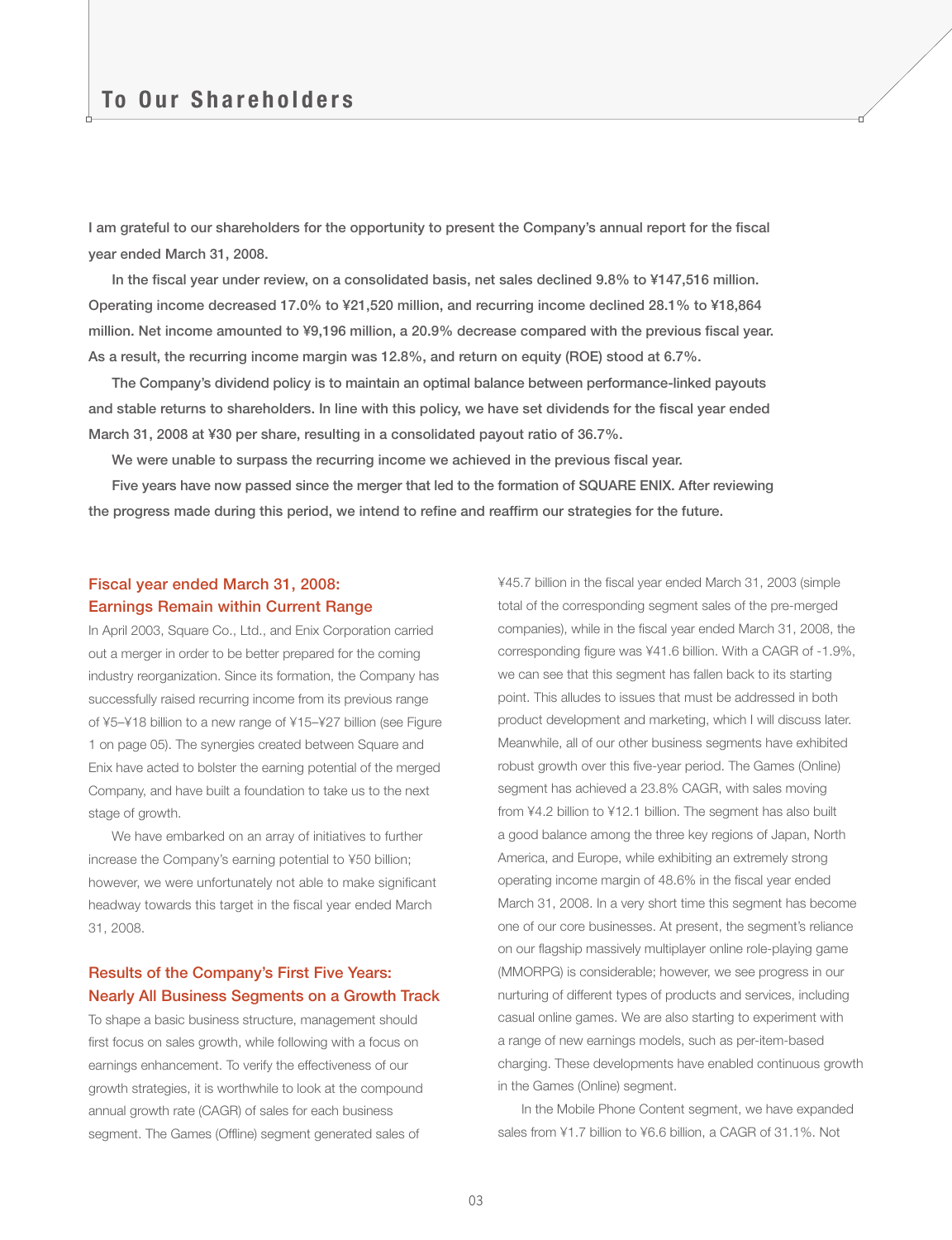I am grateful to our shareholders for the opportunity to present the Company's annual report for the fiscal year ended March 31, 2008.

In the fiscal year under review, on a consolidated basis, net sales declined 9.8% to ¥147,516 million. Operating income decreased 17.0% to ¥21,520 million, and recurring income declined 28.1% to ¥18,864 million. Net income amounted to ¥9,196 million, a 20.9% decrease compared with the previous fiscal year. As a result, the recurring income margin was 12.8%, and return on equity (ROE) stood at 6.7%.

The Company's dividend policy is to maintain an optimal balance between performance-linked payouts and stable returns to shareholders. In line with this policy, we have set dividends for the fiscal year ended March 31, 2008 at ¥30 per share, resulting in a consolidated payout ratio of 36.7%.

We were unable to surpass the recurring income we achieved in the previous fiscal year.

Five years have now passed since the merger that led to the formation of SQUARE ENIX. After reviewing the progress made during this period, we intend to refine and reaffirm our strategies for the future.

# Fiscal year ended March 31, 2008: Earnings Remain within Current Range

In April 2003, Square Co., Ltd., and Enix Corporation carried out a merger in order to be better prepared for the coming industry reorganization. Since its formation, the Company has successfully raised recurring income from its previous range of ¥5–¥18 billion to a new range of ¥15–¥27 billion (see Figure 1 on page 05). The synergies created between Square and Enix have acted to bolster the earning potential of the merged Company, and have built a foundation to take us to the next stage of growth.

We have embarked on an array of initiatives to further increase the Company's earning potential to ¥50 billion; however, we were unfortunately not able to make significant headway towards this target in the fiscal year ended March 31, 2008.

## Results of the Company's First Five Years: Nearly All Business Segments on a Growth Track

To shape a basic business structure, management should first focus on sales growth, while following with a focus on earnings enhancement. To verify the effectiveness of our growth strategies, it is worthwhile to look at the compound annual growth rate (CAGR) of sales for each business segment. The Games (Offline) segment generated sales of

¥45.7 billion in the fiscal year ended March 31, 2003 (simple total of the corresponding segment sales of the pre-merged companies), while in the fiscal year ended March 31, 2008, the corresponding figure was ¥41.6 billion. With a CAGR of -1.9%, we can see that this segment has fallen back to its starting point. This alludes to issues that must be addressed in both product development and marketing, which I will discuss later. Meanwhile, all of our other business segments have exhibited robust growth over this five-year period. The Games (Online) segment has achieved a 23.8% CAGR, with sales moving from ¥4.2 billion to ¥12.1 billion. The segment has also built a good balance among the three key regions of Japan, North America, and Europe, while exhibiting an extremely strong operating income margin of 48.6% in the fiscal year ended March 31, 2008. In a very short time this segment has become one of our core businesses. At present, the segment's reliance on our flagship massively multiplayer online role-playing game (MMORPG) is considerable; however, we see progress in our nurturing of different types of products and services, including casual online games. We are also starting to experiment with a range of new earnings models, such as per-item-based charging. These developments have enabled continuous growth in the Games (Online) segment.

In the Mobile Phone Content segment, we have expanded sales from ¥1.7 billion to ¥6.6 billion, a CAGR of 31.1%. Not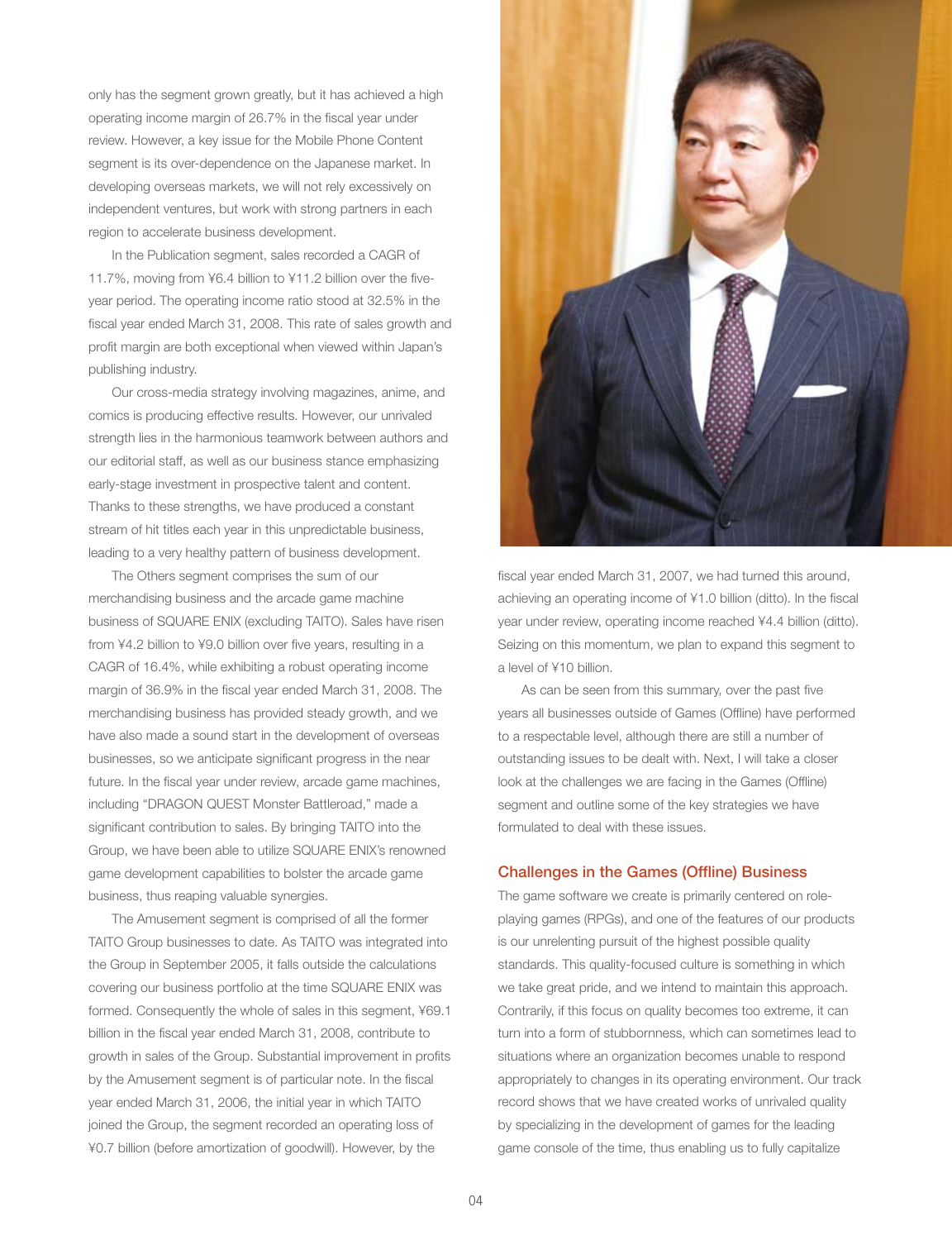only has the segment grown greatly, but it has achieved a high operating income margin of 26.7% in the fiscal year under review. However, a key issue for the Mobile Phone Content segment is its over-dependence on the Japanese market. In developing overseas markets, we will not rely excessively on independent ventures, but work with strong partners in each region to accelerate business development.

In the Publication segment, sales recorded a CAGR of 11.7%, moving from ¥6.4 billion to ¥11.2 billion over the fiveyear period. The operating income ratio stood at 32.5% in the fiscal year ended March 31, 2008. This rate of sales growth and profit margin are both exceptional when viewed within Japan's publishing industry.

Our cross-media strategy involving magazines, anime, and comics is producing effective results. However, our unrivaled strength lies in the harmonious teamwork between authors and our editorial staff, as well as our business stance emphasizing early-stage investment in prospective talent and content. Thanks to these strengths, we have produced a constant stream of hit titles each year in this unpredictable business, leading to a very healthy pattern of business development.

The Others segment comprises the sum of our merchandising business and the arcade game machine business of SQUARE ENIX (excluding TAITO). Sales have risen from ¥4.2 billion to ¥9.0 billion over five years, resulting in a CAGR of 16.4%, while exhibiting a robust operating income margin of 36.9% in the fiscal year ended March 31, 2008. The merchandising business has provided steady growth, and we have also made a sound start in the development of overseas businesses, so we anticipate significant progress in the near future. In the fiscal year under review, arcade game machines, including "DRAGON QUEST Monster Battleroad," made a significant contribution to sales. By bringing TAITO into the Group, we have been able to utilize SQUARE ENIX's renowned game development capabilities to bolster the arcade game business, thus reaping valuable synergies.

The Amusement segment is comprised of all the former TAITO Group businesses to date. As TAITO was integrated into the Group in September 2005, it falls outside the calculations covering our business portfolio at the time SQUARE ENIX was formed. Consequently the whole of sales in this segment, ¥69.1 billion in the fiscal year ended March 31, 2008, contribute to growth in sales of the Group. Substantial improvement in profits by the Amusement segment is of particular note. In the fiscal year ended March 31, 2006, the initial year in which TAITO joined the Group, the segment recorded an operating loss of ¥0.7 billion (before amortization of goodwill). However, by the



fiscal year ended March 31, 2007, we had turned this around, achieving an operating income of ¥1.0 billion (ditto). In the fiscal year under review, operating income reached ¥4.4 billion (ditto). Seizing on this momentum, we plan to expand this segment to a level of ¥10 billion.

As can be seen from this summary, over the past five years all businesses outside of Games (Offline) have performed to a respectable level, although there are still a number of outstanding issues to be dealt with. Next, I will take a closer look at the challenges we are facing in the Games (Offline) segment and outline some of the key strategies we have formulated to deal with these issues.

## Challenges in the Games (Offline) Business

The game software we create is primarily centered on roleplaying games (RPGs), and one of the features of our products is our unrelenting pursuit of the highest possible quality standards. This quality-focused culture is something in which we take great pride, and we intend to maintain this approach. Contrarily, if this focus on quality becomes too extreme, it can turn into a form of stubbornness, which can sometimes lead to situations where an organization becomes unable to respond appropriately to changes in its operating environment. Our track record shows that we have created works of unrivaled quality by specializing in the development of games for the leading game console of the time, thus enabling us to fully capitalize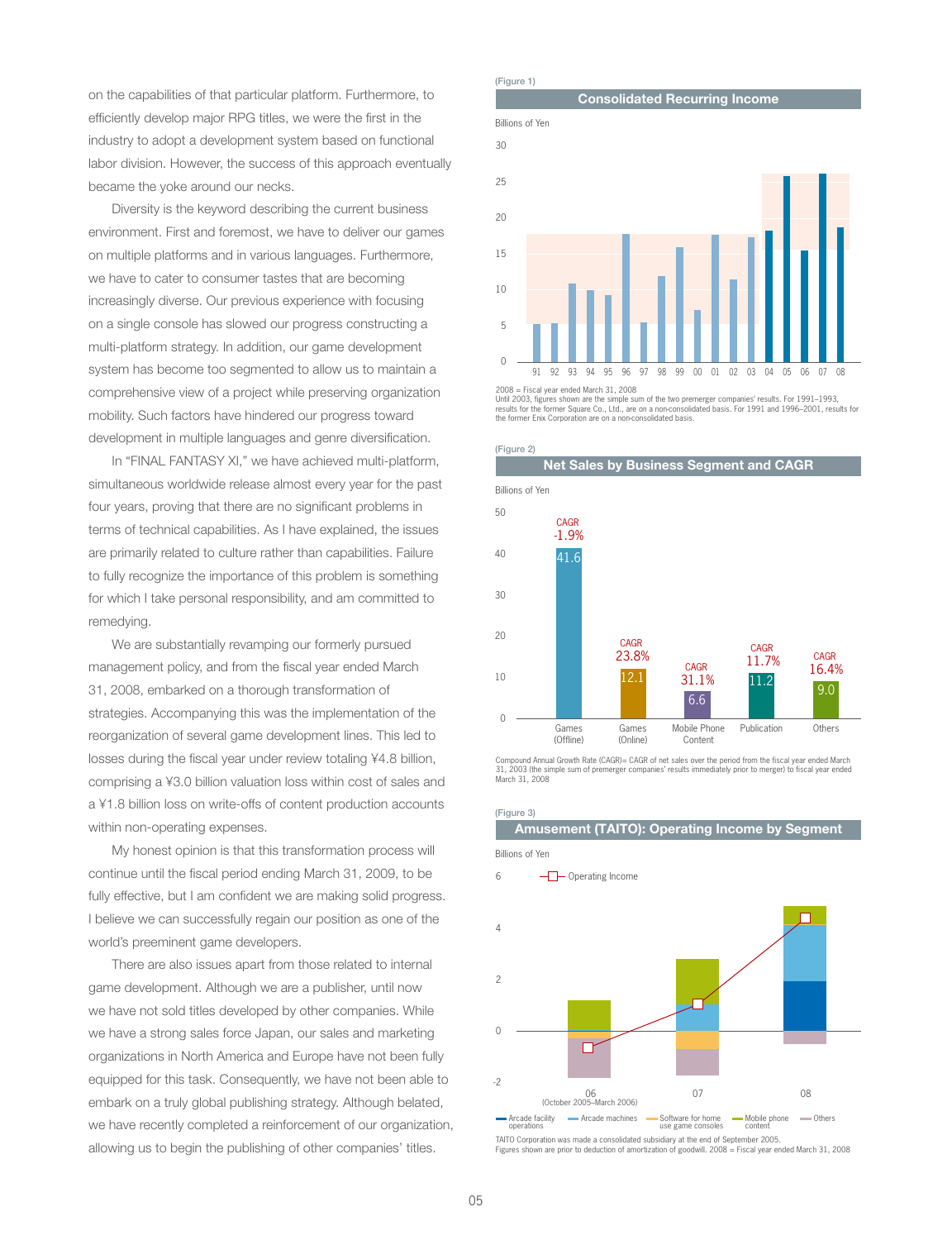on the capabilities of that particular platform. Furthermore, to efficiently develop major RPG titles, we were the first in the industry to adopt a development system based on functional labor division. However, the success of this approach eventually became the yoke around our necks.

Diversity is the keyword describing the current business environment. First and foremost, we have to deliver our games on multiple platforms and in various languages. Furthermore, we have to cater to consumer tastes that are becoming increasingly diverse. Our previous experience with focusing on a single console has slowed our progress constructing a multi-platform strategy. In addition, our game development system has become too segmented to allow us to maintain a comprehensive view of a project while preserving organization mobility. Such factors have hindered our progress toward development in multiple languages and genre diversification.

In "FINAL FANTASY XI," we have achieved multi-platform, simultaneous worldwide release almost every year for the past four years, proving that there are no significant problems in terms of technical capabilities. As I have explained, the issues are primarily related to culture rather than capabilities. Failure to fully recognize the importance of this problem is something for which I take personal responsibility, and am committed to remedying.

We are substantially revamping our formerly pursued management policy, and from the fiscal year ended March 31, 2008, embarked on a thorough transformation of strategies. Accompanying this was the implementation of the reorganization of several game development lines. This led to losses during the fiscal year under review totaling ¥4.8 billion, comprising a ¥3.0 billion valuation loss within cost of sales and a ¥1.8 billion loss on write-offs of content production accounts within non-operating expenses.

My honest opinion is that this transformation process will continue until the fiscal period ending March 31, 2009, to be fully effective, but I am confident we are making solid progress. I believe we can successfully regain our position as one of the world's preeminent game developers.

There are also issues apart from those related to internal game development. Although we are a publisher, until now we have not sold titles developed by other companies. While we have a strong sales force Japan, our sales and marketing organizations in North America and Europe have not been fully equipped for this task. Consequently, we have not been able to embark on a truly global publishing strategy. Although belated, we have recently completed a reinforcement of our organization, allowing us to begin the publishing of other companies' titles.



<sup>2008 =</sup> Fiscal year ended March 31, 2008

Until 2003, figures shown are the simple sum of the two premerger companies' results. For 1991–1993,<br>results for the former Square Co., Ltd., are on a non-consolidated basis. For 1991 and 1996–2001, results for<br>the former





Compound Annual Growth Rate (CAGR)= CAGR of net sales over the period from the fiscal year ended March 31, 2003 (the simple sum of premerger companies' results immediately prior to merger) to fiscal year ended March 31, 2008

#### (Figure 3)

Amusement (TAITO): Operating Income by Segment

Billions of Yen



TAITO Corporation was made a consolidated subsidiary at the end of September 2005. Figures shown are prior to deduction of amortization of goodwill. 2008 = Fiscal year ended March 31, 2008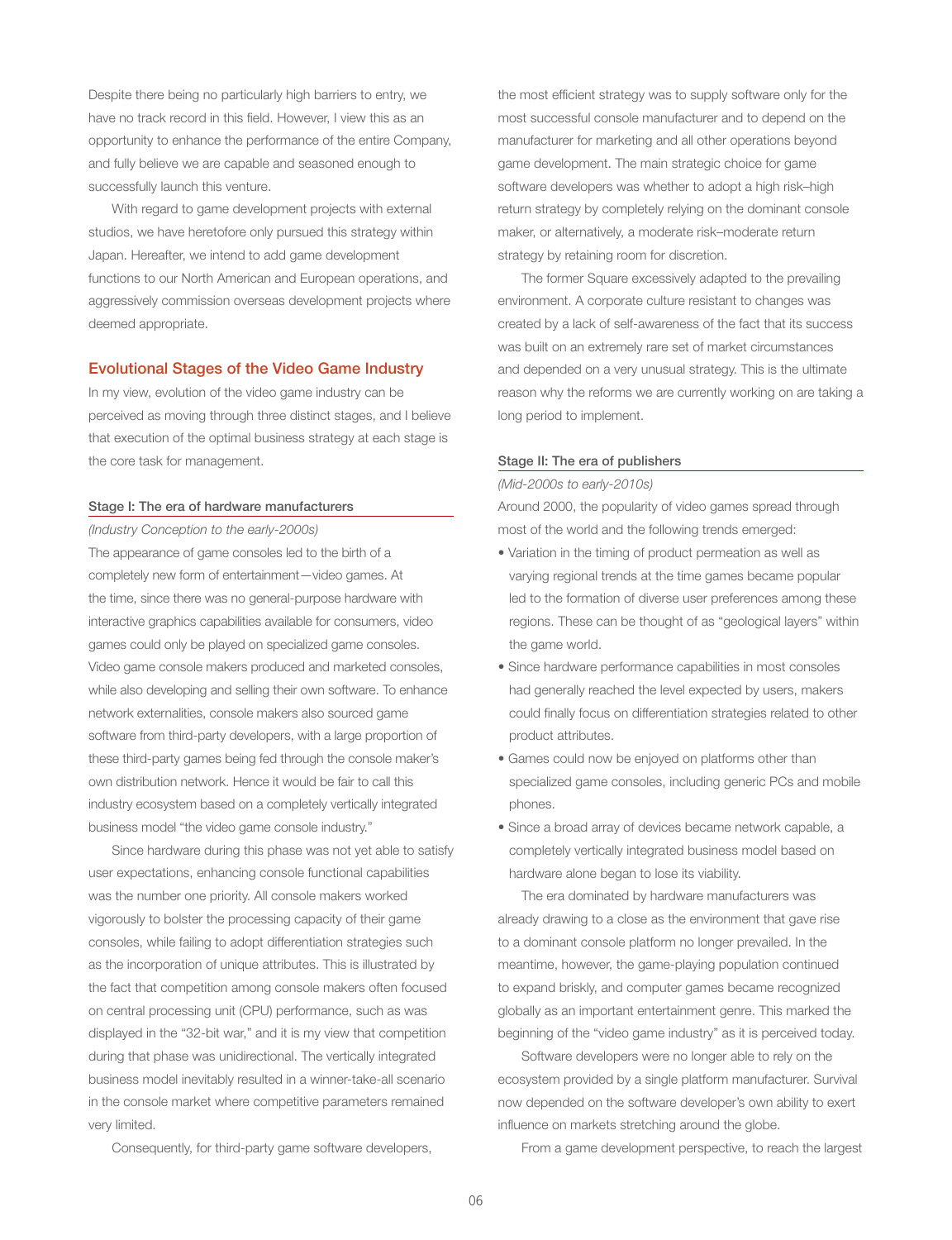Despite there being no particularly high barriers to entry, we have no track record in this field. However, I view this as an opportunity to enhance the performance of the entire Company, and fully believe we are capable and seasoned enough to successfully launch this venture.

With regard to game development projects with external studios, we have heretofore only pursued this strategy within Japan. Hereafter, we intend to add game development functions to our North American and European operations, and aggressively commission overseas development projects where deemed appropriate.

## Evolutional Stages of the Video Game Industry

In my view, evolution of the video game industry can be perceived as moving through three distinct stages, and I believe that execution of the optimal business strategy at each stage is the core task for management.

## Stage I: The era of hardware manufacturers

*(Industry Conception to the early-2000s)*

The appearance of game consoles led to the birth of a completely new form of entertainment—video games. At the time, since there was no general-purpose hardware with interactive graphics capabilities available for consumers, video games could only be played on specialized game consoles. Video game console makers produced and marketed consoles, while also developing and selling their own software. To enhance network externalities, console makers also sourced game software from third-party developers, with a large proportion of these third-party games being fed through the console maker's own distribution network. Hence it would be fair to call this industry ecosystem based on a completely vertically integrated business model "the video game console industry."

Since hardware during this phase was not yet able to satisfy user expectations, enhancing console functional capabilities was the number one priority. All console makers worked vigorously to bolster the processing capacity of their game consoles, while failing to adopt differentiation strategies such as the incorporation of unique attributes. This is illustrated by the fact that competition among console makers often focused on central processing unit (CPU) performance, such as was displayed in the "32-bit war," and it is my view that competition during that phase was unidirectional. The vertically integrated business model inevitably resulted in a winner-take-all scenario in the console market where competitive parameters remained very limited.

Consequently, for third-party game software developers,

the most efficient strategy was to supply software only for the most successful console manufacturer and to depend on the manufacturer for marketing and all other operations beyond game development. The main strategic choice for game software developers was whether to adopt a high risk–high return strategy by completely relying on the dominant console maker, or alternatively, a moderate risk–moderate return strategy by retaining room for discretion.

The former Square excessively adapted to the prevailing environment. A corporate culture resistant to changes was created by a lack of self-awareness of the fact that its success was built on an extremely rare set of market circumstances and depended on a very unusual strategy. This is the ultimate reason why the reforms we are currently working on are taking a long period to implement.

### Stage II: The era of publishers

*(Mid-2000s to early-2010s)*

Around 2000, the popularity of video games spread through most of the world and the following trends emerged:

- Variation in the timing of product permeation as well as varying regional trends at the time games became popular led to the formation of diverse user preferences among these regions. These can be thought of as "geological layers" within the game world.
- Since hardware performance capabilities in most consoles had generally reached the level expected by users, makers could finally focus on differentiation strategies related to other product attributes.
- Games could now be enjoyed on platforms other than specialized game consoles, including generic PCs and mobile phones.
- Since a broad array of devices became network capable, a completely vertically integrated business model based on hardware alone began to lose its viability.

The era dominated by hardware manufacturers was already drawing to a close as the environment that gave rise to a dominant console platform no longer prevailed. In the meantime, however, the game-playing population continued to expand briskly, and computer games became recognized globally as an important entertainment genre. This marked the beginning of the "video game industry" as it is perceived today.

Software developers were no longer able to rely on the ecosystem provided by a single platform manufacturer. Survival now depended on the software developer's own ability to exert influence on markets stretching around the globe.

From a game development perspective, to reach the largest